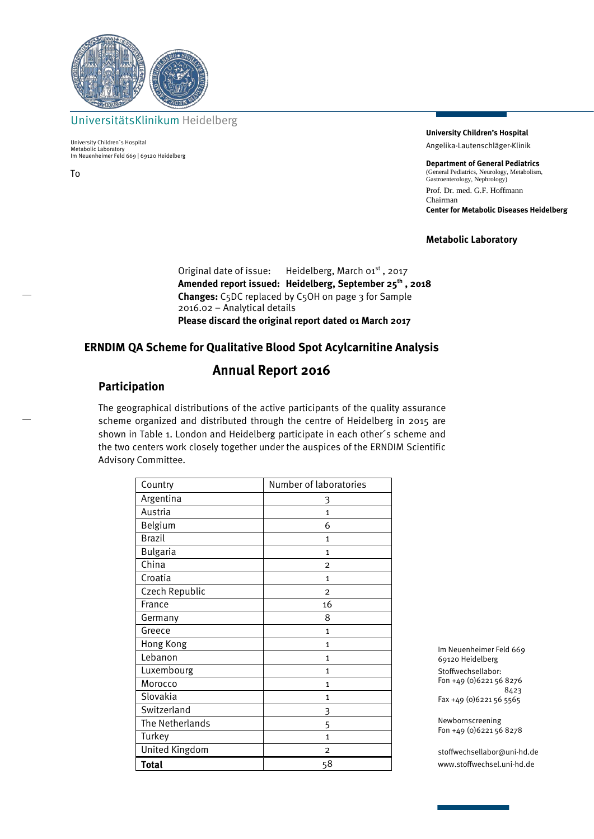

UniversitätsKlinikum Heidelberg

University Children´s Hospital Metabolic Laboratory Im Neuenheimer Feld 669 | 69120 Heidelberg

To

**University Children's Hospital** Angelika-Lautenschläger-Klinik

**Department of General Pediatrics** (General Pediatrics, Neurology, Metabolism, General Fediaties, Neurology)<br>Gastroenterology, Nephrology) Prof. Dr. med. G.F. Hoffmann Chairman **Center for Metabolic Diseases Heidelberg**

### **Metabolic Laboratory**

Original date of issue: Heidelberg, March 01<sup>st</sup>, 2017 **Amended report issued: Heidelberg, September 25th , 2018 Changes:** C5DC replaced by C5OH on page 3 for Sample 2016.02 – Analytical details **Please discard the original report dated 01 March 2017**

### **ERNDIM QA Scheme for Qualitative Blood Spot Acylcarnitine Analysis**

# **Annual Report 2016**

### **Participation**

The geographical distributions of the active participants of the quality assurance scheme organized and distributed through the centre of Heidelberg in 2015 are shown in Table 1. London and Heidelberg participate in each other´s scheme and the two centers work closely together under the auspices of the ERNDIM Scientific Advisory Committee.

| Country         | Number of laboratories |
|-----------------|------------------------|
| Argentina       | 3                      |
| Austria         | $\mathbf{1}$           |
| Belgium         | 6                      |
| <b>Brazil</b>   | $\mathbf{1}$           |
| <b>Bulgaria</b> | $\mathbf{1}$           |
| China           | $\overline{2}$         |
| Croatia         | $\mathbf{1}$           |
| Czech Republic  | $\overline{2}$         |
| France          | 16                     |
| Germany         | 8                      |
| Greece          | $\mathbf{1}$           |
| Hong Kong       | 1                      |
| Lebanon         | $\mathbf{1}$           |
| Luxembourg      | $\mathbf{1}$           |
| Morocco         | $\mathbf{1}$           |
| Slovakia        | 1                      |
| Switzerland     | 3                      |
| The Netherlands | 5                      |
| Turkey          | 1                      |
| United Kingdom  | $\overline{2}$         |
| Total           | 58                     |

Im Neuenheimer Feld 669 69120 Heidelberg Stoffwechsellabor: Fon +49 (0)6221 56 8276 8423 Fax +49 (0)6221 56 5565

Newbornscreening Fon +49 (0)6221 56 8278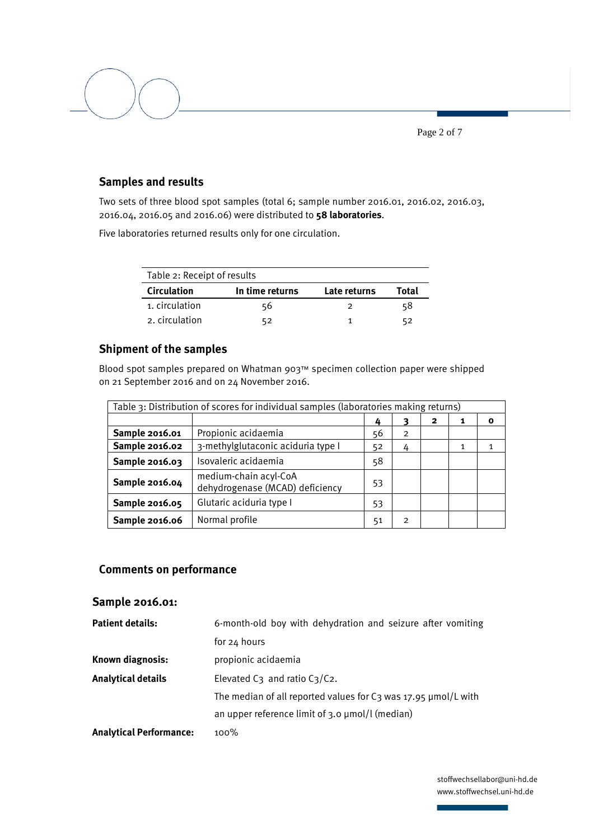Page 2 of 7

## **Samples and results**

Two sets of three blood spot samples (total 6; sample number 2016.01, 2016.02, 2016.03, 2016.04, 2016.05 and 2016.06) were distributed to **58 laboratories**.

Five laboratories returned results only for one circulation.

| Table 2: Receipt of results |                 |              |       |  |  |
|-----------------------------|-----------------|--------------|-------|--|--|
| <b>Circulation</b>          | In time returns | Late returns | Total |  |  |
| 1. circulation              | 56              | っ            | 58    |  |  |
| 2. circulation              |                 |              |       |  |  |

## **Shipment of the samples**

Blood spot samples prepared on Whatman 903™ specimen collection paper were shipped on 21 September 2016 and on 24 November 2016.

| Table 3: Distribution of scores for individual samples (laboratories making returns) |                                                          |    |                |  |   |             |
|--------------------------------------------------------------------------------------|----------------------------------------------------------|----|----------------|--|---|-------------|
|                                                                                      | 4                                                        |    |                |  | 1 | $\mathbf o$ |
| Sample 2016.01                                                                       | Propionic acidaemia                                      |    | $\overline{2}$ |  |   |             |
| 3-methylglutaconic aciduria type I<br>Sample 2016.02<br>52<br>4                      |                                                          |    | 1              |  |   |             |
| Isovaleric acidaemia<br>Sample 2016.03                                               |                                                          | 58 |                |  |   |             |
| Sample 2016.04                                                                       | medium-chain acyl-CoA<br>dehydrogenase (MCAD) deficiency | 53 |                |  |   |             |
| Sample 2016.05                                                                       | Glutaric aciduria type I                                 | 53 |                |  |   |             |
| Sample 2016.06                                                                       | Normal profile                                           | 51 | 2              |  |   |             |

### **Comments on performance**

### **Sample 2016.01:**

| <b>Patient details:</b>        | 6-month-old boy with dehydration and seizure after vomiting            |
|--------------------------------|------------------------------------------------------------------------|
|                                | for 24 hours                                                           |
| Known diagnosis:               | propionic acidaemia                                                    |
| <b>Analytical details</b>      | Elevated $C_3$ and ratio $C_3/C_2$ .                                   |
|                                | The median of all reported values for $C_3$ was 17.95 $\mu$ mol/L with |
|                                | an upper reference limit of $3.0 \mu$ mol/l (median)                   |
| <b>Analytical Performance:</b> | $100\%$                                                                |
|                                |                                                                        |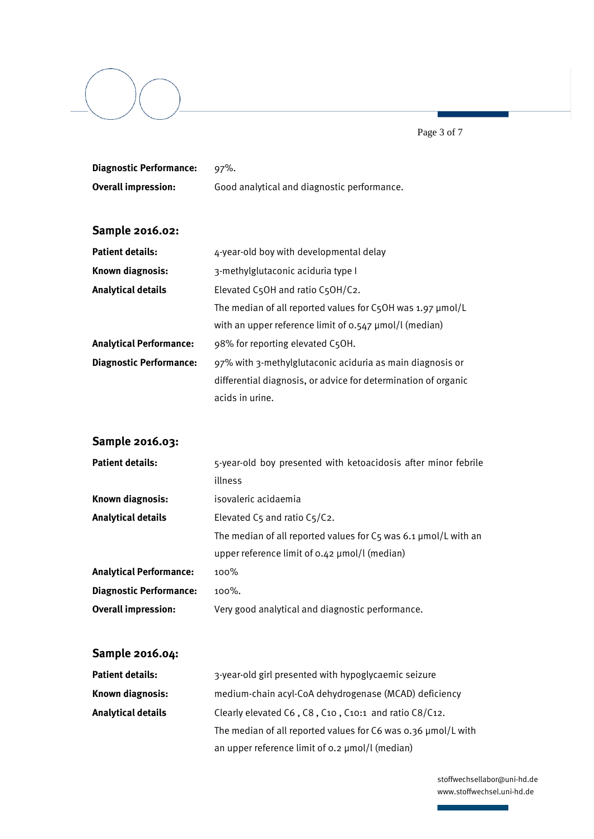Page 3 of 7

| <b>Diagnostic Performance:</b> | $97%$ .                                                                 |  |  |  |
|--------------------------------|-------------------------------------------------------------------------|--|--|--|
| <b>Overall impression:</b>     | Good analytical and diagnostic performance.                             |  |  |  |
|                                |                                                                         |  |  |  |
| Sample 2016.02:                |                                                                         |  |  |  |
| <b>Patient details:</b>        | 4-year-old boy with developmental delay                                 |  |  |  |
| Known diagnosis:               | 3-methylglutaconic aciduria type I                                      |  |  |  |
| <b>Analytical details</b>      | Elevated C5OH and ratio C5OH/C2.                                        |  |  |  |
|                                | The median of all reported values for C5OH was 1.97 µmol/L              |  |  |  |
|                                | with an upper reference limit of 0.547 µmol/l (median)                  |  |  |  |
| <b>Analytical Performance:</b> | 98% for reporting elevated C5OH.                                        |  |  |  |
| <b>Diagnostic Performance:</b> | 97% with 3-methylglutaconic aciduria as main diagnosis or               |  |  |  |
|                                | differential diagnosis, or advice for determination of organic          |  |  |  |
|                                | acids in urine.                                                         |  |  |  |
|                                |                                                                         |  |  |  |
| Sample 2016.03:                |                                                                         |  |  |  |
| <b>Patient details:</b>        | 5-year-old boy presented with ketoacidosis after minor febrile          |  |  |  |
|                                | illness                                                                 |  |  |  |
| Known diagnosis:               | isovaleric acidaemia                                                    |  |  |  |
| <b>Analytical details</b>      | Elevated C5 and ratio C5/C2.                                            |  |  |  |
|                                | The median of all reported values for $C_5$ was 6.1 $\mu$ mol/L with an |  |  |  |
|                                | upper reference limit of 0.42 µmol/l (median)                           |  |  |  |
| <b>Analytical Performance:</b> | 100%                                                                    |  |  |  |
| <b>Diagnostic Performance:</b> | 100%.                                                                   |  |  |  |
| <b>Overall impression:</b>     | Very good analytical and diagnostic performance.                        |  |  |  |
|                                |                                                                         |  |  |  |
| Sample 2016.04:                |                                                                         |  |  |  |
| <b>Patient details:</b>        | 3-year-old girl presented with hypoglycaemic seizure                    |  |  |  |

| Patient details:   | 3-year-old girl presented with hypoglycaemic seizure                 |
|--------------------|----------------------------------------------------------------------|
| Known diagnosis:   | medium-chain acyl-CoA dehydrogenase (MCAD) deficiency                |
| Analytical details | Clearly elevated C6, C8, C10, C10:1 and ratio C8/C12.                |
|                    | The median of all reported values for $C6$ was 0.36 $\mu$ mol/L with |
|                    | an upper reference limit of 0.2 µmol/l (median)                      |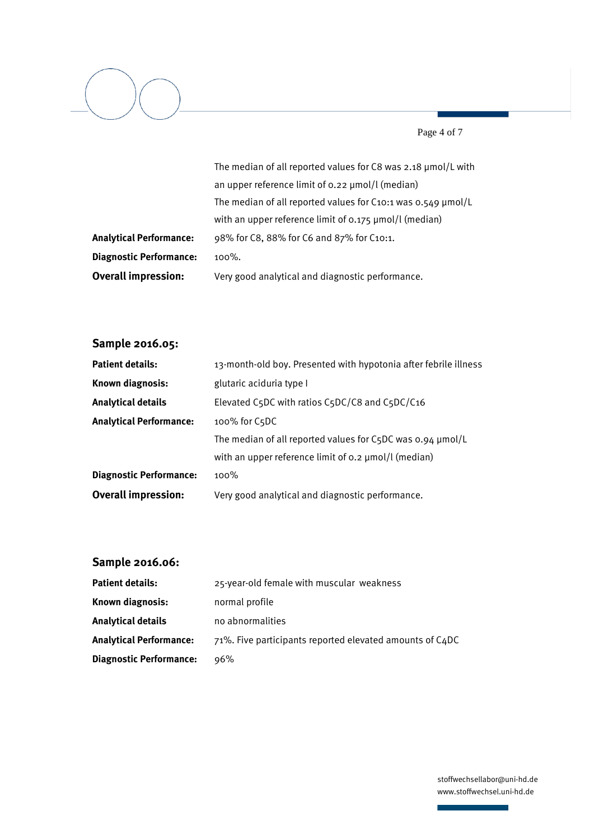

Page 4 of 7

|                                | The median of all reported values for C8 was 2.18 µmol/L with          |
|--------------------------------|------------------------------------------------------------------------|
|                                | an upper reference limit of 0.22 µmol/l (median)                       |
|                                | The median of all reported values for $C_{10:1}$ was 0.549 $\mu$ mol/L |
|                                | with an upper reference limit of 0.175 µmol/l (median)                 |
| <b>Analytical Performance:</b> | 98% for C8, 88% for C6 and 87% for C10:1.                              |
| <b>Diagnostic Performance:</b> | $100\%$ .                                                              |
| <b>Overall impression:</b>     | Very good analytical and diagnostic performance.                       |

# **Sample 2016.05:**

| <b>Patient details:</b>        | 13-month-old boy. Presented with hypotonia after febrile illness   |  |  |
|--------------------------------|--------------------------------------------------------------------|--|--|
| Known diagnosis:               | glutaric aciduria type I                                           |  |  |
| Analytical details             | Elevated C5DC with ratios C5DC/C8 and C5DC/C16                     |  |  |
| <b>Analytical Performance:</b> | 100% for C5DC                                                      |  |  |
|                                | The median of all reported values for $C_5DC$ was 0.94 $\mu$ mol/L |  |  |
|                                | with an upper reference limit of $o.2 \mu$ mol/l (median)          |  |  |
| <b>Diagnostic Performance:</b> | $100\%$                                                            |  |  |
| <b>Overall impression:</b>     | Very good analytical and diagnostic performance.                   |  |  |

# **Sample 2016.06:**

| <b>Patient details:</b>        | 25-year-old female with muscular weakness                |
|--------------------------------|----------------------------------------------------------|
| Known diagnosis:               | normal profile                                           |
| Analytical details             | no abnormalities                                         |
| Analytical Performance:        | 71%. Five participants reported elevated amounts of C4DC |
| <b>Diagnostic Performance:</b> | 96%                                                      |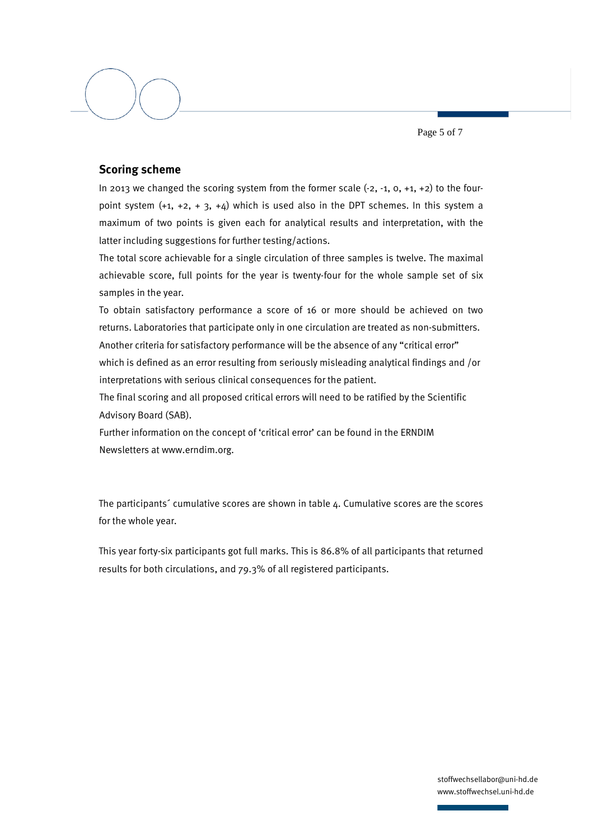Page 5 of 7

## **Scoring scheme**

In 2013 we changed the scoring system from the former scale  $(-2, -1, 0, +1, +2)$  to the fourpoint system  $(+1, +2, +3, +4)$  which is used also in the DPT schemes. In this system a maximum of two points is given each for analytical results and interpretation, with the latter including suggestions for further testing/actions.

The total score achievable for a single circulation of three samples is twelve. The maximal achievable score, full points for the year is twenty-four for the whole sample set of six samples in the year.

To obtain satisfactory performance a score of 16 or more should be achieved on two returns. Laboratories that participate only in one circulation are treated as non-submitters. Another criteria for satisfactory performance will be the absence of any "critical error"

which is defined as an error resulting from seriously misleading analytical findings and /or interpretations with serious clinical consequences for the patient.

The final scoring and all proposed critical errors will need to be ratified by the Scientific Advisory Board (SAB).

Further information on the concept of 'critical error' can be found in the ERNDIM Newsletters at www.erndim.org.

The participants´ cumulative scores are shown in table 4. Cumulative scores are the scores for the whole year.

This year forty-six participants got full marks. This is 86.8% of all participants that returned results for both circulations, and 79.3% of all registered participants.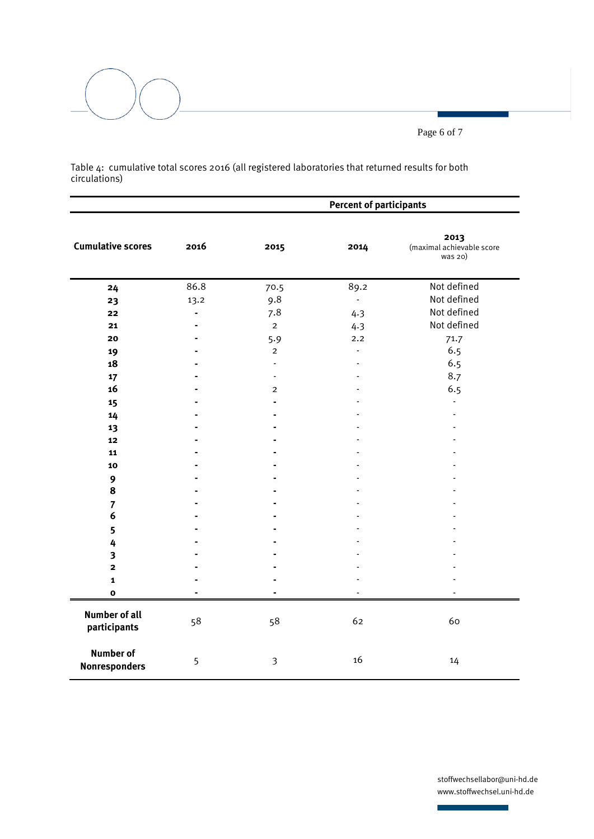Page 6 of 7

Table 4: cumulative total scores 2016 (all registered laboratories that returned results for both circulations)

|                                          |                | <b>Percent of participants</b> |                |                                              |
|------------------------------------------|----------------|--------------------------------|----------------|----------------------------------------------|
| <b>Cumulative scores</b>                 | 2016           | 2015                           | 2014           | 2013<br>(maximal achievable score<br>was 20) |
| 24                                       | 86.8           | 70.5                           | 89.2           | Not defined                                  |
| 23                                       | 13.2           | 9.8                            | $\blacksquare$ | Not defined                                  |
| 22                                       | $\blacksquare$ | 7.8                            | 4.3            | Not defined                                  |
| 21                                       | $\blacksquare$ | $\overline{2}$                 | 4.3            | Not defined                                  |
| 20                                       |                | 5.9                            | 2.2            | 71.7                                         |
| 19                                       |                | $\overline{2}$                 | $\overline{a}$ | 6.5                                          |
| 18                                       |                |                                |                | 6.5                                          |
| 17                                       |                | $\overline{\phantom{a}}$       |                | 8.7                                          |
| 16                                       |                | $\overline{c}$                 |                | 6.5                                          |
| 15                                       |                | ÷.                             |                |                                              |
| 14                                       |                |                                |                |                                              |
| 13                                       |                |                                |                |                                              |
| 12                                       |                |                                |                |                                              |
| 11                                       |                |                                |                |                                              |
| 10                                       |                |                                |                |                                              |
| 9                                        |                |                                |                |                                              |
| 8                                        |                |                                |                |                                              |
| $\overline{7}$                           |                |                                |                |                                              |
| 6                                        |                |                                |                |                                              |
| 5                                        |                |                                |                |                                              |
| 4                                        |                |                                |                |                                              |
| $\overline{\mathbf{3}}$                  |                |                                |                |                                              |
| $\overline{\mathbf{2}}$                  |                |                                |                |                                              |
| $\mathbf{1}$                             |                |                                |                |                                              |
| $\mathbf 0$                              |                |                                |                |                                              |
| <b>Number of all</b><br>participants     | 58             | 58                             | 62             | 60                                           |
| <b>Number of</b><br><b>Nonresponders</b> | 5              | 3                              | 16             | 14                                           |